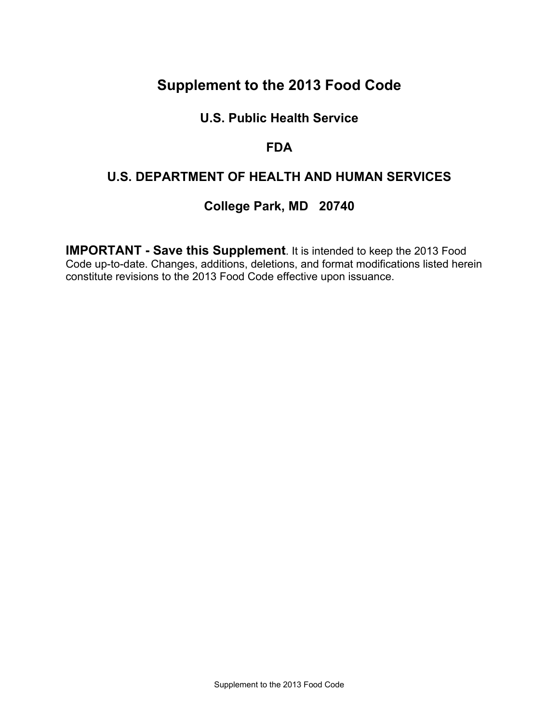# **Supplement to the 2013 Food Code**

## **U.S. Public Health Service**

### **FDA**

## **U.S. DEPARTMENT OF HEALTH AND HUMAN SERVICES**

## **College Park, MD 20740**

**IMPORTANT - Save this Supplement**. It is intended to keep the 2013 Food Code up-to-date. Changes, additions, deletions, and format modifications listed herein constitute revisions to the 2013 Food Code effective upon issuance.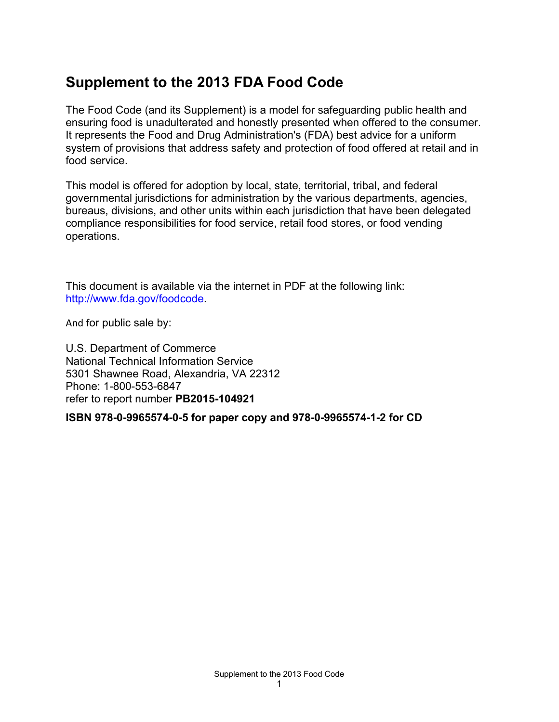# **Supplement to the 2013 FDA Food Code**

The Food Code (and its Supplement) is a model for safeguarding public health and ensuring food is unadulterated and honestly presented when offered to the consumer. It represents the Food and Drug Administration's (FDA) best advice for a uniform system of provisions that address safety and protection of food offered at retail and in food service.

This model is offered for adoption by local, state, territorial, tribal, and federal governmental jurisdictions for administration by the various departments, agencies, bureaus, divisions, and other units within each jurisdiction that have been delegated compliance responsibilities for food service, retail food stores, or food vending operations.

This document is available via the internet in PDF at the following link: http://[www.fda.gov/foodcode.](http://www.fda.gov/foodcode)

And for public sale by:

U.S. Department of Commerce National Technical Information Service 5301 Shawnee Road, Alexandria, VA 22312 Phone: 1-800-553-6847 refer to report number **PB2015-104921**

**ISBN 978-0-9965574-0-5 for paper copy and 978-0-9965574-1-2 for CD**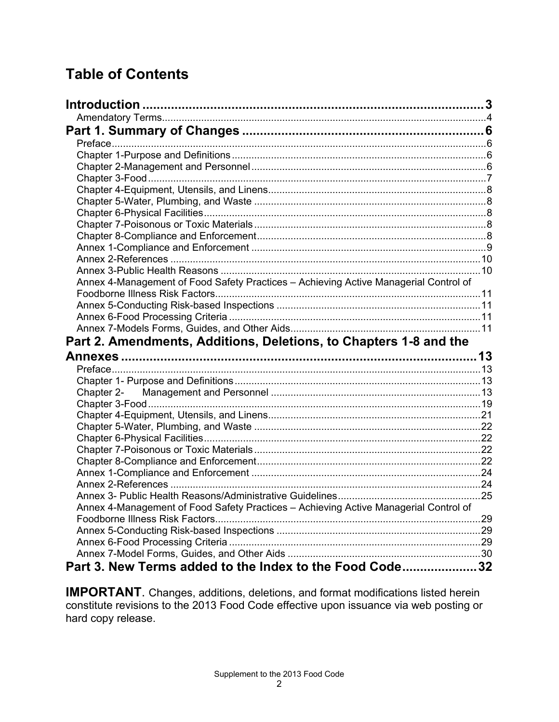# **Table of Contents**

| Annex 4-Management of Food Safety Practices - Achieving Active Managerial Control of |     |
|--------------------------------------------------------------------------------------|-----|
|                                                                                      |     |
|                                                                                      |     |
|                                                                                      |     |
|                                                                                      |     |
| Part 2. Amendments, Additions, Deletions, to Chapters 1-8 and the                    |     |
|                                                                                      |     |
|                                                                                      |     |
|                                                                                      |     |
|                                                                                      |     |
|                                                                                      |     |
|                                                                                      |     |
|                                                                                      |     |
|                                                                                      |     |
|                                                                                      |     |
|                                                                                      |     |
|                                                                                      |     |
|                                                                                      |     |
|                                                                                      |     |
| Annex 4-Management of Food Safety Practices - Achieving Active Managerial Control of |     |
|                                                                                      | .29 |
|                                                                                      |     |
|                                                                                      |     |
| Part 3. New Terms added to the Index to the Food Code32                              |     |
|                                                                                      |     |

**IMPORTANT**. Changes, additions, deletions, and format modifications listed herein constitute revisions to the 2013 Food Code effective upon issuance via web posting or hard copy release.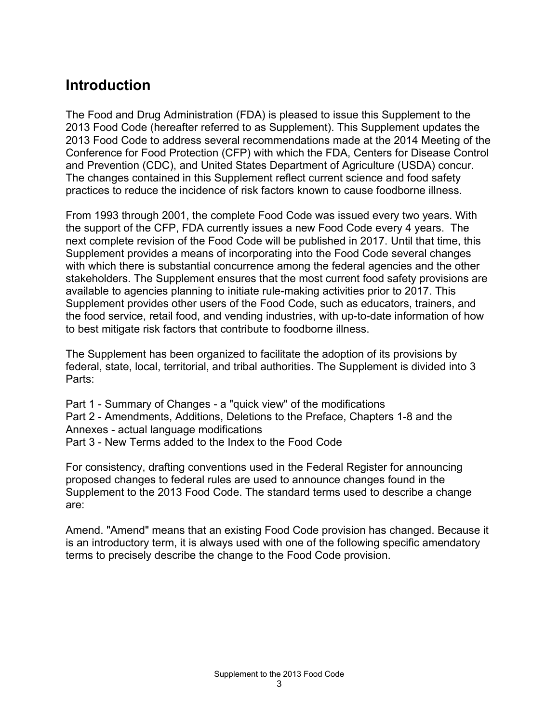# <span id="page-3-0"></span>**Introduction**

The Food and Drug Administration (FDA) is pleased to issue this Supplement to the 2013 Food Code (hereafter referred to as Supplement). This Supplement updates the 2013 Food Code to address several recommendations made at the 2014 Meeting of the Conference for Food Protection (CFP) with which the FDA, Centers for Disease Control and Prevention (CDC), and United States Department of Agriculture (USDA) concur. The changes contained in this Supplement reflect current science and food safety practices to reduce the incidence of risk factors known to cause foodborne illness.

From 1993 through 2001, the complete Food Code was issued every two years. With the support of the CFP, FDA currently issues a new Food Code every 4 years. The next complete revision of the Food Code will be published in 2017. Until that time, this Supplement provides a means of incorporating into the Food Code several changes with which there is substantial concurrence among the federal agencies and the other stakeholders. The Supplement ensures that the most current food safety provisions are available to agencies planning to initiate rule-making activities prior to 2017. This Supplement provides other users of the Food Code, such as educators, trainers, and the food service, retail food, and vending industries, with up-to-date information of how to best mitigate risk factors that contribute to foodborne illness.

The Supplement has been organized to facilitate the adoption of its provisions by federal, state, local, territorial, and tribal authorities. The Supplement is divided into 3 Parts:

Part 1 - Summary of Changes - a "quick view" of the modifications Part 2 - Amendments, Additions, Deletions to the Preface, Chapters 1-8 and the Annexes - actual language modifications Part 3 - New Terms added to the Index to the Food Code

For consistency, drafting conventions used in the Federal Register for announcing proposed changes to federal rules are used to announce changes found in the Supplement to the 2013 Food Code. The standard terms used to describe a change are:

Amend. "Amend" means that an existing Food Code provision has changed. Because it is an introductory term, it is always used with one of the following specific amendatory terms to precisely describe the change to the Food Code provision.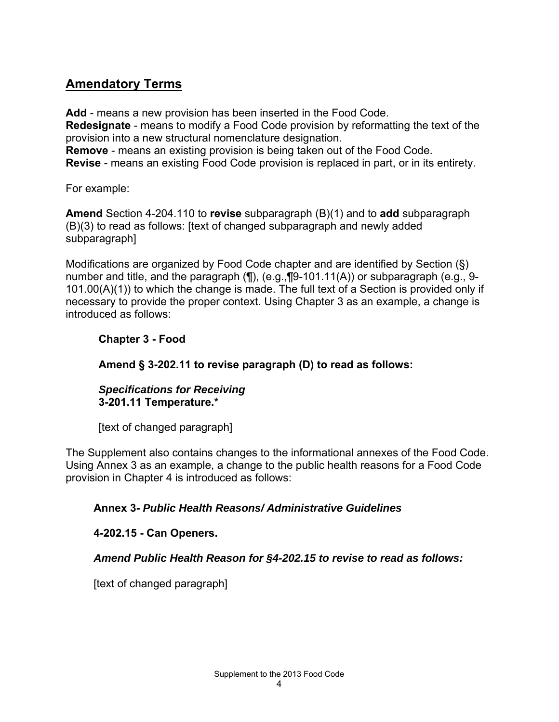## <span id="page-4-0"></span>**Amendatory Terms**

**Add** - means a new provision has been inserted in the Food Code. **Redesignate** - means to modify a Food Code provision by reformatting the text of the provision into a new structural nomenclature designation.

**Remove** - means an existing provision is being taken out of the Food Code. **Revise** - means an existing Food Code provision is replaced in part, or in its entirety.

For example:

**Amend** Section 4-204.110 to **revise** subparagraph (B)(1) and to **add** subparagraph (B)(3) to read as follows: [text of changed subparagraph and newly added subparagraph]

Modifications are organized by Food Code chapter and are identified by Section (§) number and title, and the paragraph (¶), (e.g.,¶9-101.11(A)) or subparagraph (e.g., 9- 101.00(A)(1)) to which the change is made. The full text of a Section is provided only if necessary to provide the proper context. Using Chapter 3 as an example, a change is introduced as follows:

### **Chapter 3 - Food**

**Amend § 3-202.11 to revise paragraph (D) to read as follows:**

#### *Specifications for Receiving* **3-201.11 Temperature.\***

[text of changed paragraph]

The Supplement also contains changes to the informational annexes of the Food Code. Using Annex 3 as an example, a change to the public health reasons for a Food Code provision in Chapter 4 is introduced as follows:

### **Annex 3-** *Public Health Reasons/ Administrative Guidelines*

### **4-202.15 - Can Openers.**

### *Amend Public Health Reason for §4-202.15 to revise to read as follows:*

[text of changed paragraph]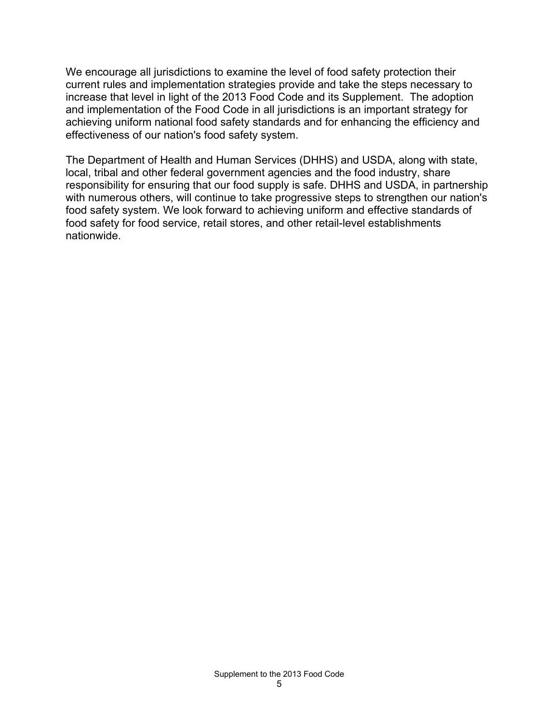We encourage all jurisdictions to examine the level of food safety protection their current rules and implementation strategies provide and take the steps necessary to increase that level in light of the 2013 Food Code and its Supplement. The adoption and implementation of the Food Code in all jurisdictions is an important strategy for achieving uniform national food safety standards and for enhancing the efficiency and effectiveness of our nation's food safety system.

The Department of Health and Human Services (DHHS) and USDA, along with state, local, tribal and other federal government agencies and the food industry, share responsibility for ensuring that our food supply is safe. DHHS and USDA, in partnership with numerous others, will continue to take progressive steps to strengthen our nation's food safety system. We look forward to achieving uniform and effective standards of food safety for food service, retail stores, and other retail-level establishments nationwide.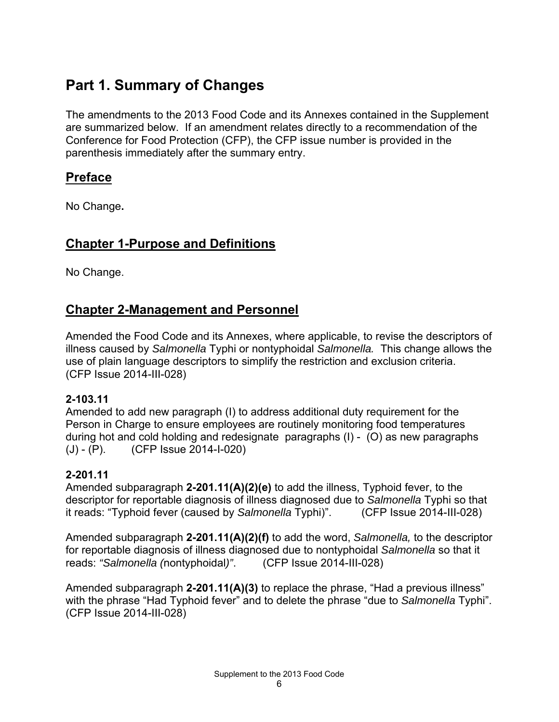# <span id="page-6-0"></span>**Part 1. Summary of Changes**

The amendments to the 2013 Food Code and its Annexes contained in the Supplement are summarized below. If an amendment relates directly to a recommendation of the Conference for Food Protection (CFP), the CFP issue number is provided in the parenthesis immediately after the summary entry.

## <span id="page-6-1"></span>**Preface**

No Change**.** 

## <span id="page-6-2"></span>**Chapter 1-Purpose and Definitions**

No Change.

## <span id="page-6-3"></span>**Chapter 2-Management and Personnel**

Amended the Food Code and its Annexes, where applicable, to revise the descriptors of illness caused by *Salmonella* Typhi or nontyphoidal *Salmonella.* This change allows the use of plain language descriptors to simplify the restriction and exclusion criteria. (CFP Issue 2014-III-028)

### **2-103.11**

Amended to add new paragraph (I) to address additional duty requirement for the Person in Charge to ensure employees are routinely monitoring food temperatures during hot and cold holding and redesignate paragraphs (I) - (O) as new paragraphs (J) - (P). (CFP Issue 2014-I-020)

### **2-201.11**

Amended subparagraph **2-201.11(A)(2)(e)** to add the illness, Typhoid fever, to the descriptor for reportable diagnosis of illness diagnosed due to *Salmonella* Typhi so that it reads: "Typhoid fever (caused by *Salmonella* Typhi)". (CFP Issue 2014-III-028)

Amended subparagraph **2-201.11(A)(2)(f)** to add the word, *Salmonella,* to the descriptor for reportable diagnosis of illness diagnosed due to nontyphoidal *Salmonella* so that it reads: *"Salmonella (*nontyphoidal*)"*. (CFP Issue 2014-III-028)

Amended subparagraph **2-201.11(A)(3)** to replace the phrase, "Had a previous illness" with the phrase "Had Typhoid fever" and to delete the phrase "due to *Salmonella* Typhi". (CFP Issue 2014-III-028)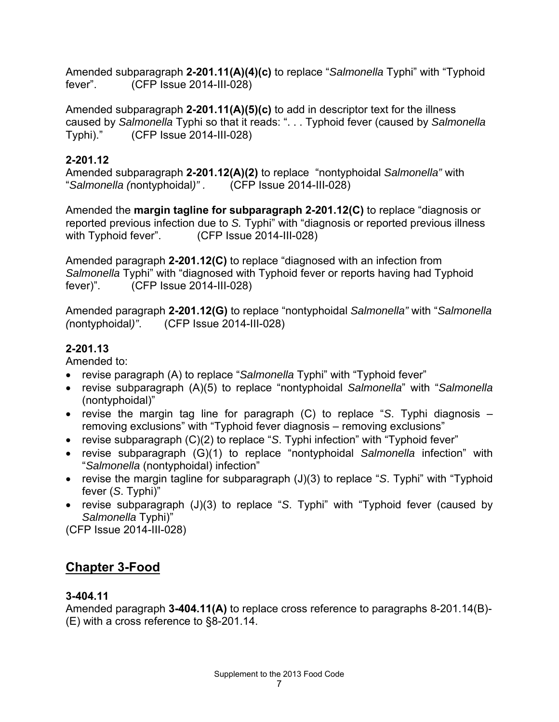Amended subparagraph **2-201.11(A)(4)(c)** to replace "*Salmonella* Typhi" with "Typhoid fever". (CFP Issue 2014-III-028)

Amended subparagraph **2-201.11(A)(5)(c)** to add in descriptor text for the illness caused by *Salmonella* Typhi so that it reads: ". . . Typhoid fever (caused by *Salmonella* Typhi)." (CFP Issue 2014-III-028)

### **2-201.12**

Amended subparagraph **2-201.12(A)(2)** to replace "nontyphoidal *Salmonella"* with "*Salmonella (*nontyphoidal*)" .* (CFP Issue 2014-III-028)

Amended the **margin tagline for subparagraph 2-201.12(C)** to replace "diagnosis or reported previous infection due to *S.* Typhi" with "diagnosis or reported previous illness with Typhoid fever". (CFP Issue 2014-III-028)

Amended paragraph **2-201.12(C)** to replace "diagnosed with an infection from *Salmonella* Typhi" with "diagnosed with Typhoid fever or reports having had Typhoid fever)". (CFP Issue 2014-III-028)

Amended paragraph **2-201.12(G)** to replace "nontyphoidal *Salmonella"* with "*Salmonella (*nontyphoidal*)"*. (CFP Issue 2014-III-028)

### **2-201.13**

Amended to:

- revise paragraph (A) to replace "*Salmonella* Typhi" with "Typhoid fever"
- revise subparagraph (A)(5) to replace "nontyphoidal *Salmonella*" with "*Salmonella* (nontyphoidal)"
- revise the margin tag line for paragraph (C) to replace "*S*. Typhi diagnosis removing exclusions" with "Typhoid fever diagnosis – removing exclusions"
- revise subparagraph (C)(2) to replace "*S*. Typhi infection" with "Typhoid fever"
- revise subparagraph (G)(1) to replace "nontyphoidal *Salmonella* infection" with "*Salmonella* (nontyphoidal) infection"
- revise the margin tagline for subparagraph (J)(3) to replace "*S*. Typhi" with "Typhoid fever (*S*. Typhi)"
- revise subparagraph (J)(3) to replace "*S*. Typhi" with "Typhoid fever (caused by *Salmonella* Typhi)"

(CFP Issue 2014-III-028)

## <span id="page-7-0"></span>**Chapter 3-Food**

### **3-404.11**

Amended paragraph **3-404.11(A)** to replace cross reference to paragraphs 8-201.14(B)- (E) with a cross reference to §8-201.14.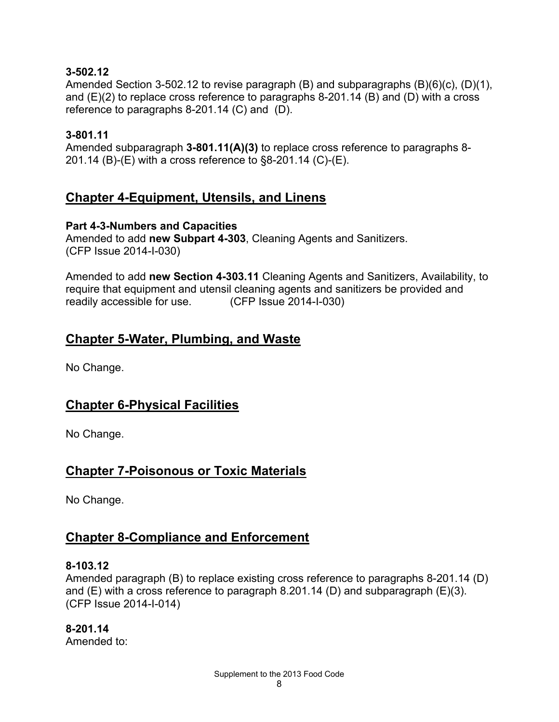### **3-502.12**

Amended Section 3-502.12 to revise paragraph (B) and subparagraphs (B)(6)(c), (D)(1), and (E)(2) to replace cross reference to paragraphs 8-201.14 (B) and (D) with a cross reference to paragraphs 8-201.14 (C) and (D).

#### **3-801.11**

Amended subparagraph **3-801.11(A)(3)** to replace cross reference to paragraphs 8- 201.14 (B)-(E) with a cross reference to §8-201.14 (C)-(E).

## <span id="page-8-0"></span>**Chapter 4-Equipment, Utensils, and Linens**

#### **Part 4-3-Numbers and Capacities**

Amended to add **new Subpart 4-303**, Cleaning Agents and Sanitizers. (CFP Issue 2014-I-030)

Amended to add **new Section 4-303.11** Cleaning Agents and Sanitizers, Availability, to require that equipment and utensil cleaning agents and sanitizers be provided and readily accessible for use. (CFP Issue 2014-I-030)

### <span id="page-8-1"></span>**Chapter 5-Water, Plumbing, and Waste**

No Change.

## <span id="page-8-2"></span>**Chapter 6-Physical Facilities**

No Change.

## <span id="page-8-3"></span>**Chapter 7-Poisonous or Toxic Materials**

No Change.

### <span id="page-8-4"></span>**Chapter 8-Compliance and Enforcement**

#### **8-103.12**

Amended paragraph (B) to replace existing cross reference to paragraphs 8-201.14 (D) and (E) with a cross reference to paragraph 8.201.14 (D) and subparagraph (E)(3). (CFP Issue 2014-I-014)

**8-201.14** Amended to: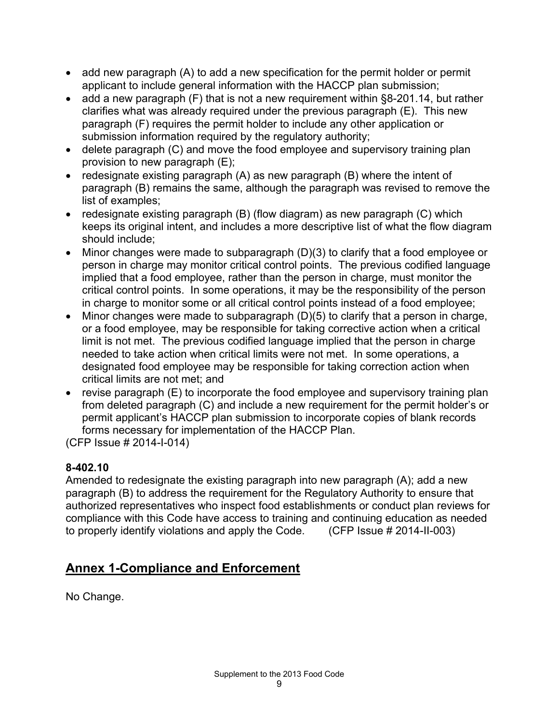- add new paragraph (A) to add a new specification for the permit holder or permit applicant to include general information with the HACCP plan submission;
- add a new paragraph (F) that is not a new requirement within §8-201.14, but rather clarifies what was already required under the previous paragraph (E). This new paragraph (F) requires the permit holder to include any other application or submission information required by the regulatory authority;
- delete paragraph (C) and move the food employee and supervisory training plan provision to new paragraph (E);
- redesignate existing paragraph (A) as new paragraph (B) where the intent of paragraph (B) remains the same, although the paragraph was revised to remove the list of examples;
- redesignate existing paragraph (B) (flow diagram) as new paragraph (C) which keeps its original intent, and includes a more descriptive list of what the flow diagram should include;
- Minor changes were made to subparagraph (D)(3) to clarify that a food employee or person in charge may monitor critical control points. The previous codified language implied that a food employee, rather than the person in charge, must monitor the critical control points. In some operations, it may be the responsibility of the person in charge to monitor some or all critical control points instead of a food employee;
- Minor changes were made to subparagraph (D)(5) to clarify that a person in charge, or a food employee, may be responsible for taking corrective action when a critical limit is not met. The previous codified language implied that the person in charge needed to take action when critical limits were not met. In some operations, a designated food employee may be responsible for taking correction action when critical limits are not met; and
- revise paragraph (E) to incorporate the food employee and supervisory training plan from deleted paragraph (C) and include a new requirement for the permit holder's or permit applicant's HACCP plan submission to incorporate copies of blank records forms necessary for implementation of the HACCP Plan.

(CFP Issue # 2014-I-014)

### **8-402.10**

Amended to redesignate the existing paragraph into new paragraph (A); add a new paragraph (B) to address the requirement for the Regulatory Authority to ensure that authorized representatives who inspect food establishments or conduct plan reviews for compliance with this Code have access to training and continuing education as needed to properly identify violations and apply the Code. (CFP Issue # 2014-II-003)

# <span id="page-9-0"></span>**Annex 1-Compliance and Enforcement**

No Change.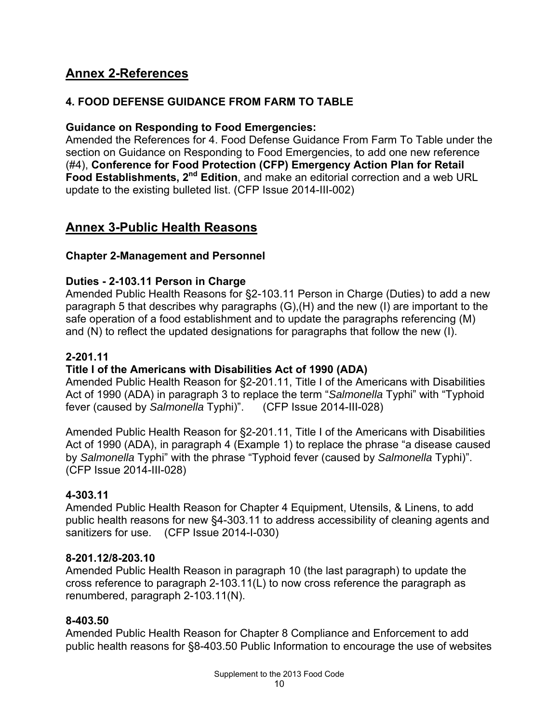## <span id="page-10-0"></span>**Annex 2-References**

### **4. FOOD DEFENSE GUIDANCE FROM FARM TO TABLE**

#### **Guidance on Responding to Food Emergencies:**

Amended the References for 4. Food Defense Guidance From Farm To Table under the section on Guidance on Responding to Food Emergencies, to add one new reference (#4), **Conference for Food Protection (CFP) Emergency Action Plan for Retail Food Establishments, 2<sup>nd</sup> Edition**, and make an editorial correction and a web URL update to the existing bulleted list. (CFP Issue 2014-III-002)

## <span id="page-10-1"></span>**Annex 3-Public Health Reasons**

#### **Chapter 2-Management and Personnel**

#### **Duties - 2-103.11 Person in Charge**

Amended Public Health Reasons for §2-103.11 Person in Charge (Duties) to add a new paragraph 5 that describes why paragraphs (G),(H) and the new (I) are important to the safe operation of a food establishment and to update the paragraphs referencing (M) and (N) to reflect the updated designations for paragraphs that follow the new (I).

#### **2-201.11**

#### **Title I of the Americans with Disabilities Act of 1990 (ADA)**

Amended Public Health Reason for §2-201.11, Title I of the Americans with Disabilities Act of 1990 (ADA) in paragraph 3 to replace the term "*Salmonella* Typhi" with "Typhoid fever (caused by *Salmonella* Typhi)". (CFP Issue 2014-III-028)

Amended Public Health Reason for §2-201.11, Title I of the Americans with Disabilities Act of 1990 (ADA), in paragraph 4 (Example 1) to replace the phrase "a disease caused by *Salmonella* Typhi" with the phrase "Typhoid fever (caused by *Salmonella* Typhi)". (CFP Issue 2014-III-028)

#### **4-303.11**

Amended Public Health Reason for Chapter 4 Equipment, Utensils, & Linens, to add public health reasons for new §4-303.11 to address accessibility of cleaning agents and sanitizers for use. (CFP Issue 2014-I-030)

#### **8-201.12/8-203.10**

Amended Public Health Reason in paragraph 10 (the last paragraph) to update the cross reference to paragraph 2-103.11(L) to now cross reference the paragraph as renumbered, paragraph 2-103.11(N).

#### **8-403.50**

Amended Public Health Reason for Chapter 8 Compliance and Enforcement to add public health reasons for §8-403.50 Public Information to encourage the use of websites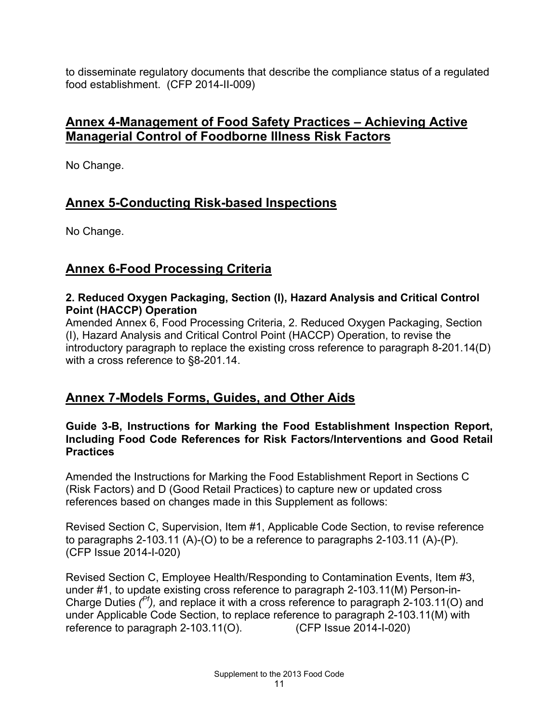to disseminate regulatory documents that describe the compliance status of a regulated food establishment. (CFP 2014-II-009)

## <span id="page-11-0"></span>**Annex 4-Management of Food Safety Practices – Achieving Active Managerial Control of Foodborne Illness Risk Factors**

No Change.

## <span id="page-11-1"></span>**Annex 5-Conducting Risk-based Inspections**

No Change.

## <span id="page-11-2"></span>**Annex 6-Food Processing Criteria**

#### **2. Reduced Oxygen Packaging, Section (I), Hazard Analysis and Critical Control Point (HACCP) Operation**

Amended Annex 6, Food Processing Criteria, 2. Reduced Oxygen Packaging, Section (I), Hazard Analysis and Critical Control Point (HACCP) Operation, to revise the introductory paragraph to replace the existing cross reference to paragraph 8-201.14(D) with a cross reference to §8-201.14.

## <span id="page-11-3"></span>**Annex 7-Models Forms, Guides, and Other Aids**

#### **Guide 3-B, Instructions for Marking the Food Establishment Inspection Report, Including Food Code References for Risk Factors/Interventions and Good Retail Practices**

Amended the Instructions for Marking the Food Establishment Report in Sections C (Risk Factors) and D (Good Retail Practices) to capture new or updated cross references based on changes made in this Supplement as follows:

Revised Section C, Supervision, Item #1, Applicable Code Section, to revise reference to paragraphs 2-103.11 (A)-(O) to be a reference to paragraphs 2-103.11 (A)-(P). (CFP Issue 2014-I-020)

Revised Section C, Employee Health/Responding to Contamination Events, Item #3, under #1, to update existing cross reference to paragraph 2-103.11(M) Person-in-Charge Duties *( Pf),* and replace it with a cross reference to paragraph 2-103.11(O) and under Applicable Code Section, to replace reference to paragraph 2-103.11(M) with reference to paragraph 2-103.11(O). reference to paragraph  $2-103.11(O)$ .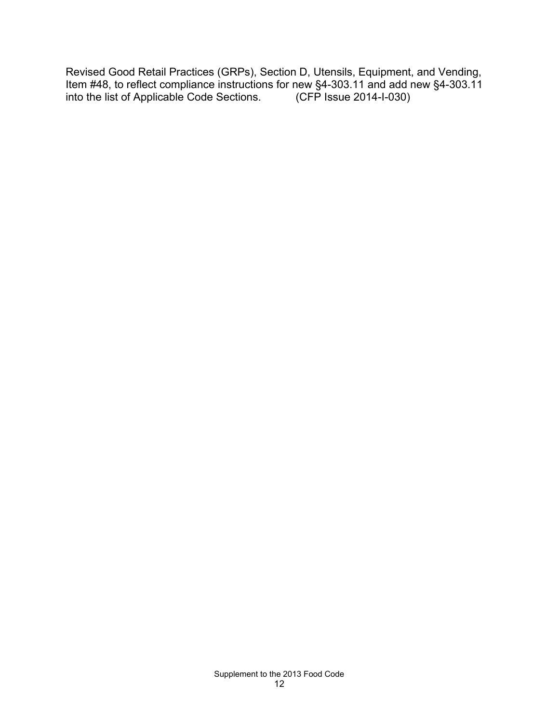Revised Good Retail Practices (GRPs), Section D, Utensils, Equipment, and Vending, Item #48, to reflect compliance instructions for new §4-303.11 and add new §4-303.11 into the list of Applicable Code Sections. (CFP Issue 2014-I-030) into the list of Applicable Code Sections.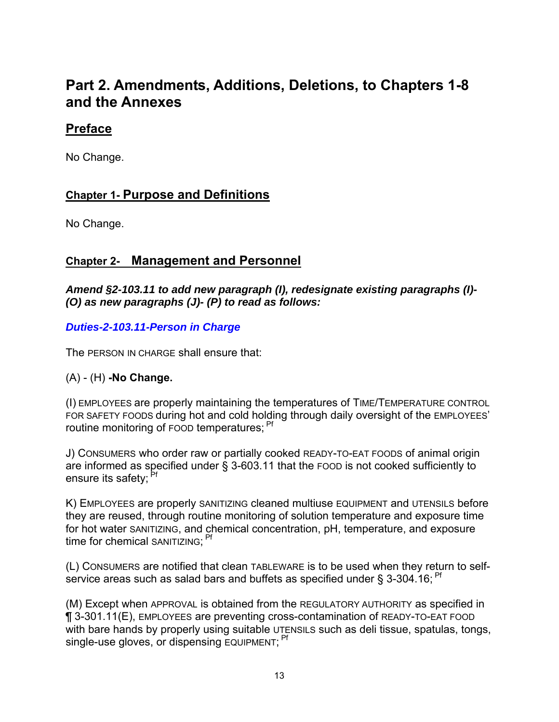# <span id="page-13-0"></span>**Part 2. Amendments, Additions, Deletions, to Chapters 1-8 and the Annexes**

## <span id="page-13-1"></span>**Preface**

No Change.

## <span id="page-13-2"></span>**Chapter 1- Purpose and Definitions**

No Change.

## <span id="page-13-3"></span>**Chapter 2- Management and Personnel**

*Amend §2-103.11 to add new paragraph (I), redesignate existing paragraphs (I)- (O) as new paragraphs (J)- (P) to read as follows:*

### *Duties-2-103.11-Person in Charge*

The PERSON IN CHARGE shall ensure that:

### (A) - (H) **-No Change.**

(I) EMPLOYEES are properly maintaining the temperatures of TIME/TEMPERATURE CONTROL FOR SAFETY FOODS during hot and cold holding through daily oversight of the EMPLOYEES' routine monitoring of FOOD temperatures: <sup>Pf</sup>

J) CONSUMERS who order raw or partially cooked READY-TO-EAT FOODS of animal origin are informed as specified under § 3-603.11 that the FOOD is not cooked sufficiently to ensure its safety: <sup>Pt</sup>

K) EMPLOYEES are properly SANITIZING cleaned multiuse EQUIPMENT and UTENSILS before they are reused, through routine monitoring of solution temperature and exposure time for hot water SANITIZING, and chemical concentration, pH, temperature, and exposure time for chemical SANITIZING: <sup>Pf</sup>

(L) CONSUMERS are notified that clean TABLEWARE is to be used when they return to selfservice areas such as salad bars and buffets as specified under § 3-304.16;  $Pf$ 

(M) Except when APPROVAL is obtained from the REGULATORY AUTHORITY as specified in ¶ 3-301.11(E), EMPLOYEES are preventing cross-contamination of READY-TO-EAT FOOD with bare hands by properly using suitable UTENSILS such as deli tissue, spatulas, tongs, single-use gloves, or dispensing EQUIPMENT; <sup>Pf</sup>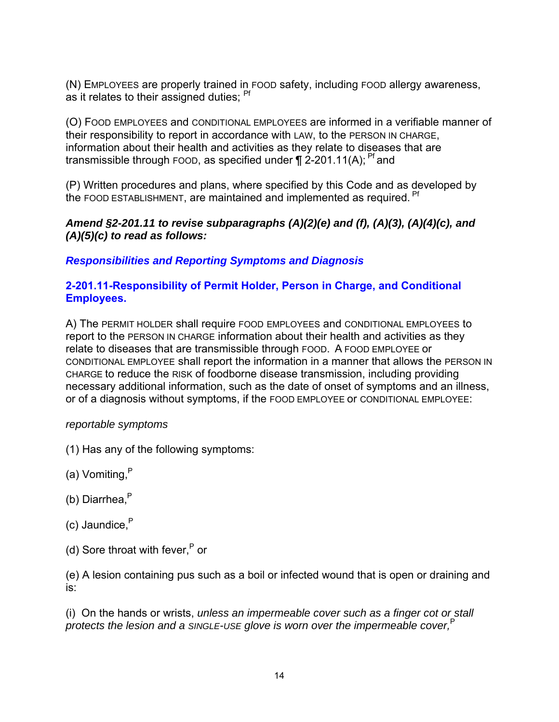(N) EMPLOYEES are properly trained in FOOD safety, including FOOD allergy awareness, as it relates to their assigned duties; Pf

(O) FOOD EMPLOYEES and CONDITIONAL EMPLOYEES are informed in a verifiable manner of their responsibility to report in accordance with LAW, to the PERSON IN CHARGE, information about their health and activities as they relate to diseases that are transmissible through FOOD, as specified under  $\P$  2-201.11(A); <sup>Pf</sup> and

(P) Written procedures and plans, where specified by this Code and as developed by the FOOD ESTABLISHMENT, are maintained and implemented as required. Pf

#### *Amend §2-201.11 to revise subparagraphs (A)(2)(e) and (f), (A)(3), (A)(4)(c), and (A)(5)(c) to read as follows:*

### *Responsibilities and Reporting Symptoms and Diagnosis*

#### **2-201.11-Responsibility of Permit Holder, Person in Charge, and Conditional Employees.**

A) The PERMIT HOLDER shall require FOOD EMPLOYEES and CONDITIONAL EMPLOYEES to report to the PERSON IN CHARGE information about their health and activities as they relate to diseases that are transmissible through FOOD. A FOOD EMPLOYEE or CONDITIONAL EMPLOYEE shall report the information in a manner that allows the PERSON IN CHARGE to reduce the RISK of foodborne disease transmission, including providing necessary additional information, such as the date of onset of symptoms and an illness, or of a diagnosis without symptoms, if the FOOD EMPLOYEE or CONDITIONAL EMPLOYEE:

### *reportable symptoms*

- (1) Has any of the following symptoms:
- (a) Vomiting, P
- (b) Diarrhea,<sup>P</sup>
- (c) Jaundice, P
- (d) Sore throat with fever, $P$  or

(e) A lesion containing pus such as a boil or infected wound that is open or draining and is:

(i) On the hands or wrists, *unless an impermeable cover such as a finger cot or stall protects the lesion and a SINGLE-USE glove is worn over the impermeable cover,*<sup>P</sup>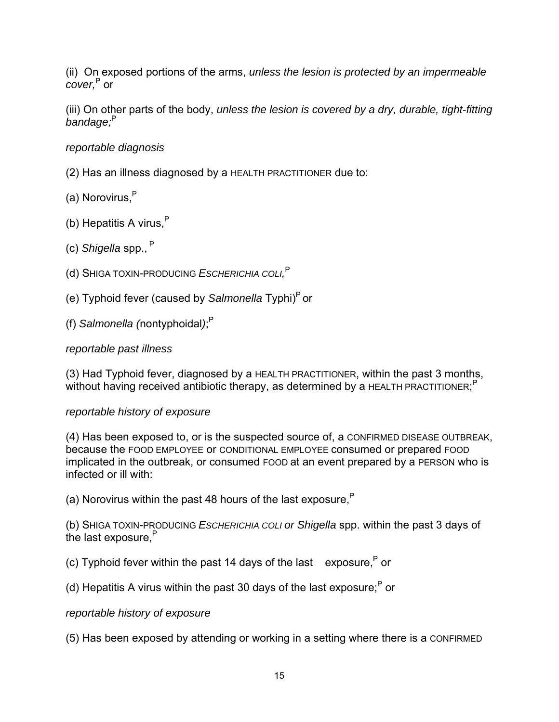(ii) On exposed portions of the arms, *unless the lesion is protected by an impermeable cover,*<sup>P</sup> or

(iii) On other parts of the body, *unless the lesion is covered by a dry, durable, tight-fitting bandage;*<sup>P</sup> 

#### *reportable diagnosis*

- (2) Has an illness diagnosed by a HEALTH PRACTITIONER due to:
- (a) Norovirus.<sup>P</sup>
- (b) Hepatitis A virus, $P$
- (c) *Shigella* spp.,<sup>P</sup>
- (d) SHIGA TOXIN-PRODUCING *ESCHERICHIA COLI,* P
- (e) Typhoid fever (caused by *Salmonella* Typhi)P or
- (f) *Salmonella (*nontyphoidal*)*; P

#### *reportable past illness*

(3) Had Typhoid fever, diagnosed by a HEALTH PRACTITIONER, within the past 3 months, without having received antibiotic therapy, as determined by a HEALTH PRACTITIONER;<sup>P</sup>

#### *reportable history of exposure*

(4) Has been exposed to, or is the suspected source of, a CONFIRMED DISEASE OUTBREAK, because the FOOD EMPLOYEE or CONDITIONAL EMPLOYEE consumed or prepared FOOD implicated in the outbreak, or consumed FOOD at an event prepared by a PERSON who is infected or ill with:

(a) Norovirus within the past 48 hours of the last exposure.<sup>P</sup>

(b) SHIGA TOXIN-PRODUCING *ESCHERICHIA COLI or Shigella* spp. within the past 3 days of the last exposure.<sup>P</sup>

(c) Typhoid fever within the past 14 days of the last exposure. $P$  or

(d) Hepatitis A virus within the past 30 days of the last exposure; $<sup>P</sup>$  or</sup>

*reportable history of exposure*

(5) Has been exposed by attending or working in a setting where there is a CONFIRMED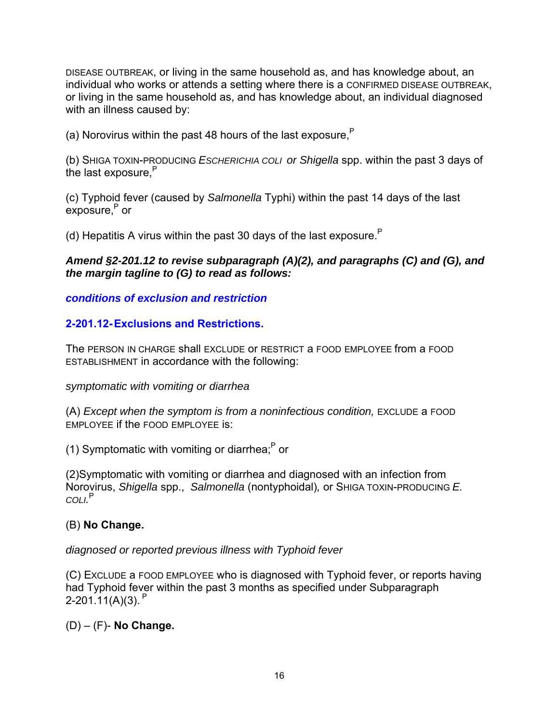DISEASE OUTBREAK, or living in the same household as, and has knowledge about, an individual who works or attends a setting where there is a CONFIRMED DISEASE OUTBREAK, or living in the same household as, and has knowledge about, an individual diagnosed with an illness caused by:

(a) Norovirus within the past 48 hours of the last exposure. $P$ 

(b) SHIGA TOXIN-PRODUCING *ESCHERICHIA COLI or Shigella* spp. within the past 3 days of the last exposure.<sup>P</sup>

(c) Typhoid fever (caused by *Salmonella* Typhi) within the past 14 days of the last exposure,<sup>P</sup> or

(d) Hepatitis A virus within the past 30 days of the last exposure.<sup>P</sup>

#### *Amend §2-201.12 to revise subparagraph (A)(2), and paragraphs (C) and (G), and the margin tagline to (G) to read as follows:*

*conditions of exclusion and restriction*

### **2-201.12- Exclusions and Restrictions.**

The PERSON IN CHARGE shall EXCLUDE or RESTRICT a FOOD EMPLOYEE from a FOOD ESTABLISHMENT in accordance with the following:

#### *symptomatic with vomiting or diarrhea*

(A) *Except when the symptom is from a noninfectious condition,* EXCLUDE a FOOD EMPLOYEE if the FOOD EMPLOYEE is:

(1) Symptomatic with vomiting or diarrhea; $P$  or

(2)Symptomatic with vomiting or diarrhea and diagnosed with an infection from Norovirus, *Shigella* spp., *Salmonella* (nontyphoidal)*,* or SHIGA TOXIN-PRODUCING *E. COLI.* P

#### (B) **No Change.**

*diagnosed or reported previous illness with Typhoid fever*

(C) EXCLUDE a FOOD EMPLOYEE who is diagnosed with Typhoid fever, or reports having had Typhoid fever within the past 3 months as specified under Subparagraph 2-201.11(A)(3).  $P$ 

(D) – (F)- **No Change.**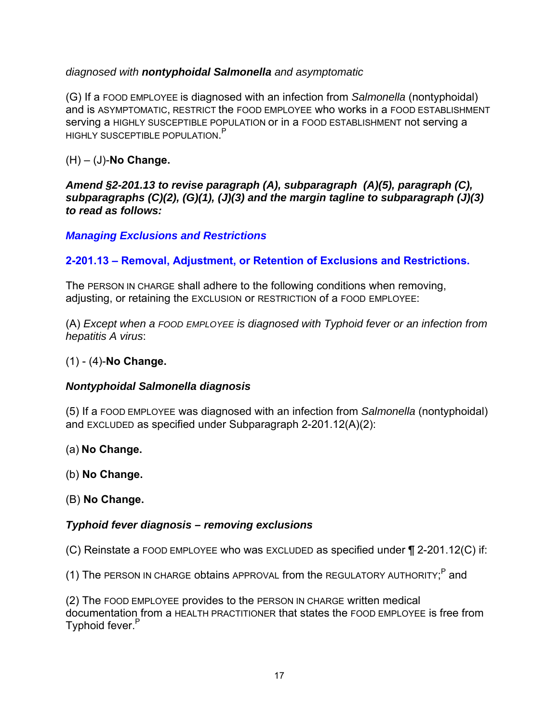### *diagnosed with nontyphoidal Salmonella and asymptomatic*

(G) If a FOOD EMPLOYEE is diagnosed with an infection from *Salmonella* (nontyphoidal) and is ASYMPTOMATIC, RESTRICT the FOOD EMPLOYEE who works in a FOOD ESTABLISHMENT serving a HIGHLY SUSCEPTIBLE POPULATION or in a FOOD ESTABLISHMENT not serving a HIGHLY SUSCEPTIBLE POPULATION.<sup>P</sup>

(H) – (J)-**No Change.**

*Amend §2-201.13 to revise paragraph (A), subparagraph (A)(5), paragraph (C), subparagraphs (C)(2), (G)(1), (J)(3) and the margin tagline to subparagraph (J)(3) to read as follows:*

*Managing Exclusions and Restrictions*

### **2-201.13 – Removal, Adjustment, or Retention of Exclusions and Restrictions.**

The PERSON IN CHARGE shall adhere to the following conditions when removing, adjusting, or retaining the EXCLUSION or RESTRICTION of a FOOD EMPLOYEE:

(A) *Except when a FOOD EMPLOYEE is diagnosed with Typhoid fever or an infection from hepatitis A virus*:

(1) - (4)-**No Change.**

#### *Nontyphoidal Salmonella diagnosis*

(5) If a FOOD EMPLOYEE was diagnosed with an infection from *Salmonella* (nontyphoidal) and EXCLUDED as specified under Subparagraph 2-201.12(A)(2):

(a) **No Change.**

(b) **No Change.**

(B) **No Change.**

#### *Typhoid fever diagnosis – removing exclusions*

(C) Reinstate a FOOD EMPLOYEE who was EXCLUDED as specified under ¶ 2-201.12(C) if:

(1) The PERSON IN CHARGE obtains APPROVAL from the REGULATORY AUTHORITY;<sup>P</sup> and

(2) The FOOD EMPLOYEE provides to the PERSON IN CHARGE written medical documentation from a HEALTH PRACTITIONER that states the FOOD EMPLOYEE is free from Typhoid fever.<sup>P</sup>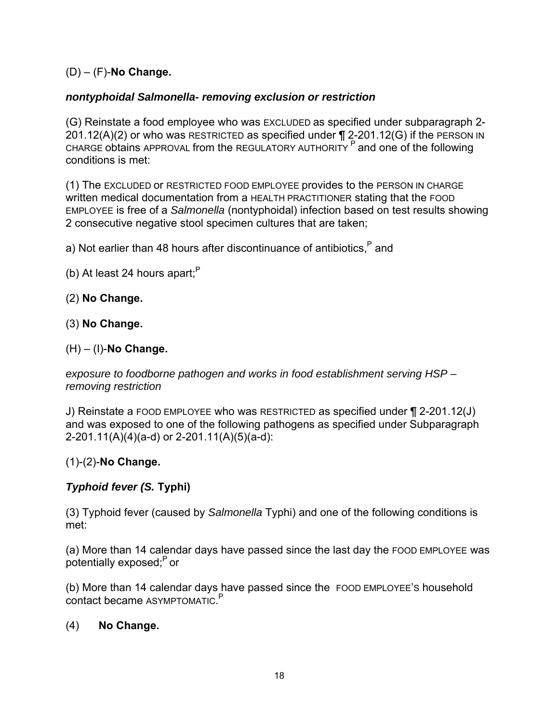### (D) – (F)-**No Change.**

### *nontyphoidal Salmonella- removing exclusion or restriction*

(G) Reinstate a food employee who was EXCLUDED as specified under subparagraph 2- 201.12(A)(2) or who was RESTRICTED as specified under  $\P$  2-201.12(G) if the PERSON IN CHARGE obtains APPROVAL from the REGULATORY AUTHORITY  $P$  and one of the following conditions is met:

(1) The EXCLUDED or RESTRICTED FOOD EMPLOYEE provides to the PERSON IN CHARGE written medical documentation from a HEALTH PRACTITIONER stating that the FOOD EMPLOYEE is free of a *Salmonella* (nontyphoidal) infection based on test results showing 2 consecutive negative stool specimen cultures that are taken;

a) Not earlier than 48 hours after discontinuance of antibiotics. $P$  and

(b) At least 24 hours apart: $P$ 

#### (2) **No Change.**

(3) **No Change.**

#### (H) – (I)-**No Change.**

*exposure to foodborne pathogen and works in food establishment serving HSP – removing restriction*

J) Reinstate a FOOD EMPLOYEE who was RESTRICTED as specified under ¶ 2-201.12(J) and was exposed to one of the following pathogens as specified under Subparagraph 2-201.11(A)(4)(a-d) or 2-201.11(A)(5)(a-d):

#### (1)-(2)-**No Change.**

### *Typhoid fever (S.* **Typhi)**

(3) Typhoid fever (caused by *Salmonella* Typhi) and one of the following conditions is met:

(a) More than 14 calendar days have passed since the last day the FOOD EMPLOYEE was potentially exposed;P or

(b) More than 14 calendar days have passed since the FOOD EMPLOYEE'S household contact became ASYMPTOMATIC.<sup>P</sup>

#### (4) **No Change.**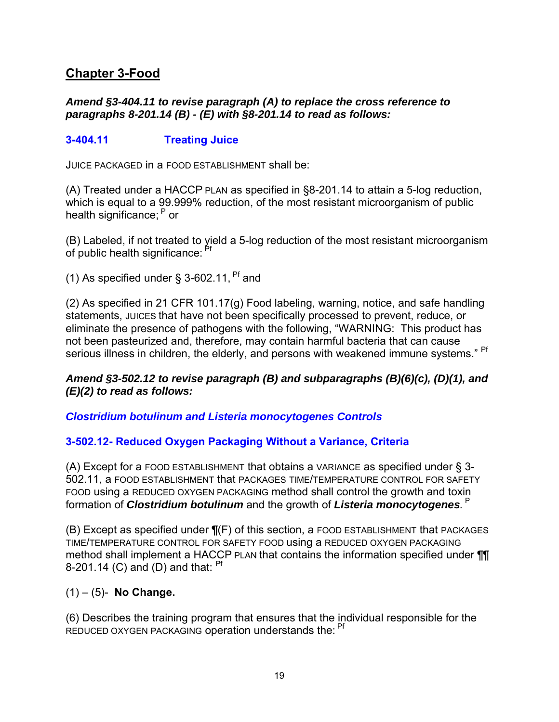## <span id="page-19-0"></span>**Chapter 3-Food**

#### *Amend §3-404.11 to revise paragraph (A) to replace the cross reference to paragraphs 8-201.14 (B) - (E) with §8-201.14 to read as follows:*

### **3-404.11 Treating Juice**

JUICE PACKAGED in a FOOD ESTABLISHMENT shall be:

(A) Treated under a HACCP PLAN as specified in §8-201.14 to attain a 5-log reduction, which is equal to a 99.999% reduction, of the most resistant microorganism of public health significance; <sup>P</sup> or

(B) Labeled, if not treated to yield a 5-log reduction of the most resistant microorganism of public health significance: <sup>Pf</sup>

(1) As specified under  $\S$  3-602.11, <sup>Pf</sup> and

(2) As specified in 21 CFR 101.17(g) Food labeling, warning, notice, and safe handling statements, JUICES that have not been specifically processed to prevent, reduce, or eliminate the presence of pathogens with the following, "WARNING: This product has not been pasteurized and, therefore, may contain harmful bacteria that can cause serious illness in children, the elderly, and persons with weakened immune systems." Pf

#### *Amend §3-502.12 to revise paragraph (B) and subparagraphs (B)(6)(c), (D)(1), and (E)(2) to read as follows:*

*Clostridium botulinum and Listeria monocytogenes Controls*

### **3-502.12- Reduced Oxygen Packaging Without a Variance, Criteria**

(A) Except for a FOOD ESTABLISHMENT that obtains a VARIANCE as specified under § 3- 502.11, a FOOD ESTABLISHMENT that PACKAGES TIME/TEMPERATURE CONTROL FOR SAFETY FOOD using a REDUCED OXYGEN PACKAGING method shall control the growth and toxin formation of Clostridium botulinum and the growth of Listeria monocytogenes. <sup>P</sup>

(B) Except as specified under  $\P(F)$  of this section, a FOOD ESTABLISHMENT that PACKAGES TIME/TEMPERATURE CONTROL FOR SAFETY FOOD using a REDUCED OXYGEN PACKAGING method shall implement a HACCP PLAN that contains the information specified under ¶¶ 8-201.14 (C) and (D) and that:  $Pf$ 

### (1) – (5)- **No Change.**

(6) Describes the training program that ensures that the individual responsible for the REDUCED OXYGEN PACKAGING operation understands the: <sup>Pf</sup>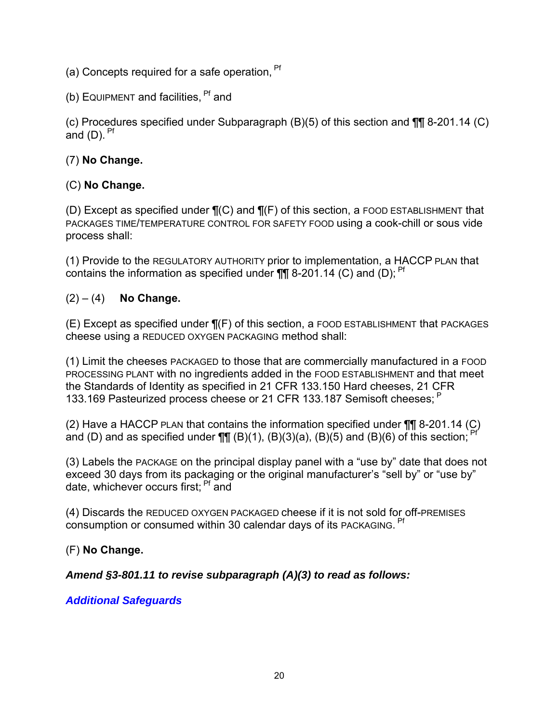- (a) Concepts required for a safe operation. <sup>Pf</sup>
- (b) EQUIPMENT and facilities,  $Pf$  and

(c) Procedures specified under Subparagraph (B)(5) of this section and ¶¶ 8-201.14 (C) and  $(D)$ . <sup>Pf</sup>

### (7) **No Change.**

### (C) **No Change.**

(D) Except as specified under  $\P(C)$  and  $\P(F)$  of this section, a FOOD ESTABLISHMENT that PACKAGES TIME/TEMPERATURE CONTROL FOR SAFETY FOOD using a cook-chill or sous vide process shall:

(1) Provide to the REGULATORY AUTHORITY prior to implementation, a HACCP PLAN that contains the information as specified under  $\P\P$  8-201.14 (C) and (D);  $P<sup>f</sup>$ 

#### (2) – (4) **No Change.**

 $(E)$  Except as specified under  $\P(F)$  of this section, a FOOD ESTABLISHMENT that PACKAGES cheese using a REDUCED OXYGEN PACKAGING method shall:

(1) Limit the cheeses PACKAGED to those that are commercially manufactured in a FOOD PROCESSING PLANT with no ingredients added in the FOOD ESTABLISHMENT and that meet the Standards of Identity as specified in 21 CFR 133.150 Hard cheeses, 21 CFR 133.169 Pasteurized process cheese or 21 CFR 133.187 Semisoft cheeses; <sup>P</sup>

(2) Have a HACCP PLAN that contains the information specified under ¶¶ 8-201.14 (C) and (D) and as specified under  $\P\P\P$  (B)(1), (B)(3)(a), (B)(5) and (B)(6) of this section;

(3) Labels the PACKAGE on the principal display panel with a "use by" date that does not exceed 30 days from its packaging or the original manufacturer's "sell by" or "use by" date, whichever occurs first: <sup>Pf</sup> and

(4) Discards the REDUCED OXYGEN PACKAGED cheese if it is not sold for off-PREMISES consumption or consumed within 30 calendar days of its PACKAGING. <sup>Pf</sup>

#### (F) **No Change.**

### *Amend §3-801.11 to revise subparagraph (A)(3) to read as follows:*

#### *Additional Safeguards*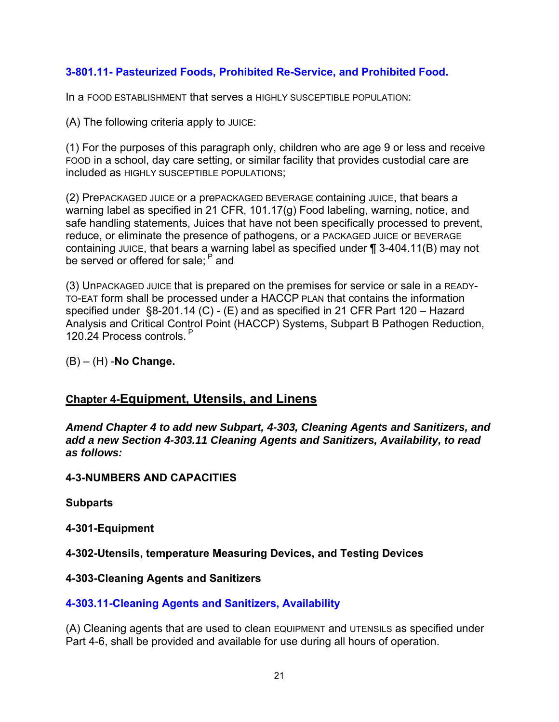### **3-801.11- Pasteurized Foods, Prohibited Re-Service, and Prohibited Food.**

In a FOOD ESTABLISHMENT that serves a HIGHLY SUSCEPTIBLE POPULATION:

(A) The following criteria apply to JUICE:

(1) For the purposes of this paragraph only, children who are age 9 or less and receive FOOD in a school, day care setting, or similar facility that provides custodial care are included as HIGHLY SUSCEPTIBLE POPULATIONS;

(2) PrePACKAGED JUICE or a prePACKAGED BEVERAGE containing JUICE, that bears a warning label as specified in 21 CFR, 101.17(g) Food labeling, warning, notice, and safe handling statements, Juices that have not been specifically processed to prevent, reduce, or eliminate the presence of pathogens, or a PACKAGED JUICE or BEVERAGE containing JUICE, that bears a warning label as specified under ¶ 3-404.11(B) may not be served or offered for sale: <sup>P</sup> and

(3) UnPACKAGED JUICE that is prepared on the premises for service or sale in a READY-TO-EAT form shall be processed under a HACCP PLAN that contains the information specified under §8-201.14 (C) - (E) and as specified in 21 CFR Part 120 – Hazard Analysis and Critical Control Point (HACCP) Systems, Subpart B Pathogen Reduction, 120.24 Process controls.<sup>P</sup>

(B) – (H) -**No Change.**

### <span id="page-21-0"></span>**Chapter 4-Equipment, Utensils, and Linens**

*Amend Chapter 4 to add new Subpart, 4-303, Cleaning Agents and Sanitizers, and add a new Section 4-303.11 Cleaning Agents and Sanitizers, Availability, to read as follows:*

### **4-3-NUMBERS AND CAPACITIES**

**Subparts**

#### **4-301-Equipment**

**4-302-Utensils, temperature Measuring Devices, and Testing Devices**

#### **4-303-Cleaning Agents and Sanitizers**

### **4-303.11-Cleaning Agents and Sanitizers, Availability**

(A) Cleaning agents that are used to clean EQUIPMENT and UTENSILS as specified under Part 4-6, shall be provided and available for use during all hours of operation.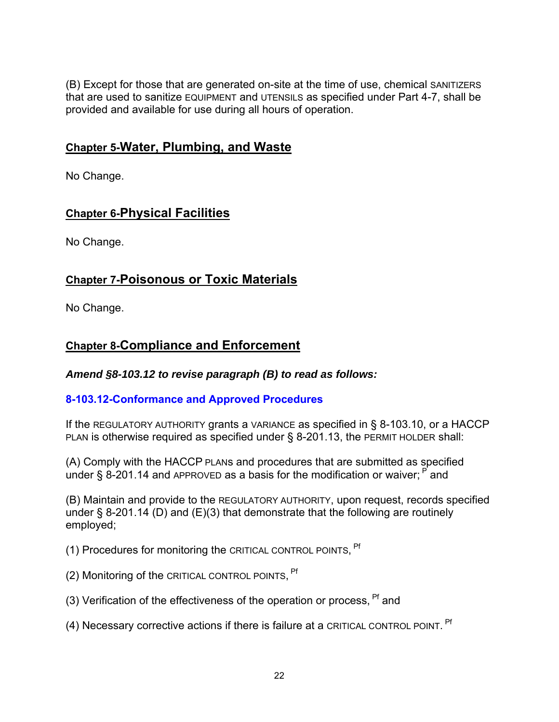(B) Except for those that are generated on-site at the time of use, chemical SANITIZERS that are used to sanitize EQUIPMENT and UTENSILS as specified under Part 4-7, shall be provided and available for use during all hours of operation.

## <span id="page-22-0"></span>**Chapter 5-Water, Plumbing, and Waste**

No Change.

## <span id="page-22-1"></span>**Chapter 6-Physical Facilities**

No Change.

## <span id="page-22-2"></span>**Chapter 7-Poisonous or Toxic Materials**

No Change.

## <span id="page-22-3"></span>**Chapter 8-Compliance and Enforcement**

*Amend §8-103.12 to revise paragraph (B) to read as follows:*

### **8-103.12-Conformance and Approved Procedures**

If the REGULATORY AUTHORITY grants a VARIANCE as specified in § 8-103.10, or a HACCP PLAN is otherwise required as specified under § 8-201.13, the PERMIT HOLDER shall:

(A) Comply with the HACCP PLANs and procedures that are submitted as specified under § 8-201.14 and APPROVED as a basis for the modification or waiver;  $P$  and

(B) Maintain and provide to the REGULATORY AUTHORITY, upon request, records specified under § 8-201.14 (D) and (E)(3) that demonstrate that the following are routinely employed;

(1) Procedures for monitoring the CRITICAL CONTROL POINTS, <sup>Pf</sup>

- (2) Monitoring of the CRITICAL CONTROL POINTS, <sup>Pf</sup>
- (3) Verification of the effectiveness of the operation or process,  $Pf$  and
- (4) Necessary corrective actions if there is failure at a CRITICAL CONTROL POINT. Pf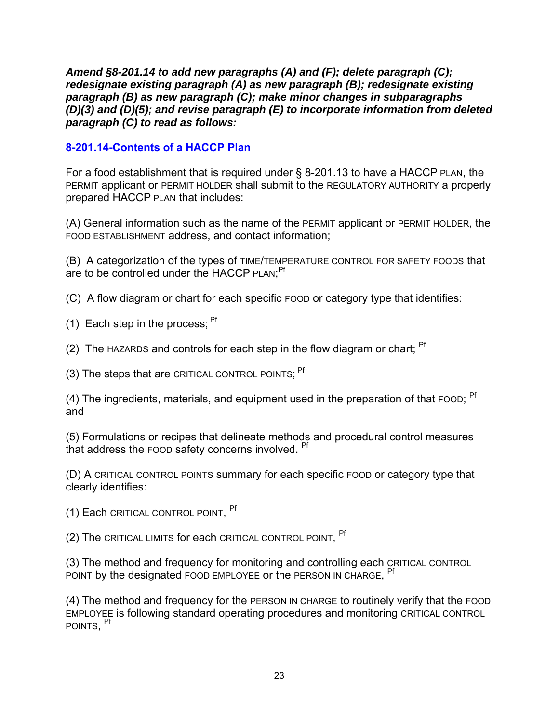*Amend §8-201.14 to add new paragraphs (A) and (F); delete paragraph (C); redesignate existing paragraph (A) as new paragraph (B); redesignate existing paragraph (B) as new paragraph (C); make minor changes in subparagraphs (D)(3) and (D)(5); and revise paragraph (E) to incorporate information from deleted paragraph (C) to read as follows:*

### **8-201.14-Contents of a HACCP Plan**

For a food establishment that is required under § 8-201.13 to have a HACCP PLAN, the PERMIT applicant or PERMIT HOLDER shall submit to the REGULATORY AUTHORITY a properly prepared HACCP PLAN that includes:

(A) General information such as the name of the PERMIT applicant or PERMIT HOLDER, the FOOD ESTABLISHMENT address, and contact information;

(B) A categorization of the types of TIME/TEMPERATURE CONTROL FOR SAFETY FOODS that are to be controlled under the HACCP PLAN;<sup>Pf</sup>

(C) A flow diagram or chart for each specific FOOD or category type that identifies:

- (1) Each step in the process; Pf
- (2) The HAZARDS and controls for each step in the flow diagram or chart;  $Pf$

(3) The steps that are CRITICAL CONTROL POINTS: <sup>Pf</sup>

(4) The ingredients, materials, and equipment used in the preparation of that FOOD;  $Pf$ and

(5) Formulations or recipes that delineate methods and procedural control measures that address the FOOD safety concerns involved. <sup>Pf</sup>

(D) A CRITICAL CONTROL POINTS summary for each specific FOOD or category type that clearly identifies:

(1) Each CRITICAL CONTROL POINT, Pf

(2) The CRITICAL LIMITS for each CRITICAL CONTROL POINT, <sup>Pf</sup>

(3) The method and frequency for monitoring and controlling each CRITICAL CONTROL POINT by the designated FOOD EMPLOYEE or the PERSON IN CHARGE, <sup>Pf</sup>

(4) The method and frequency for the PERSON IN CHARGE to routinely verify that the FOOD EMPLOYEE is following standard operating procedures and monitoring CRITICAL CONTROL POINTS, Pf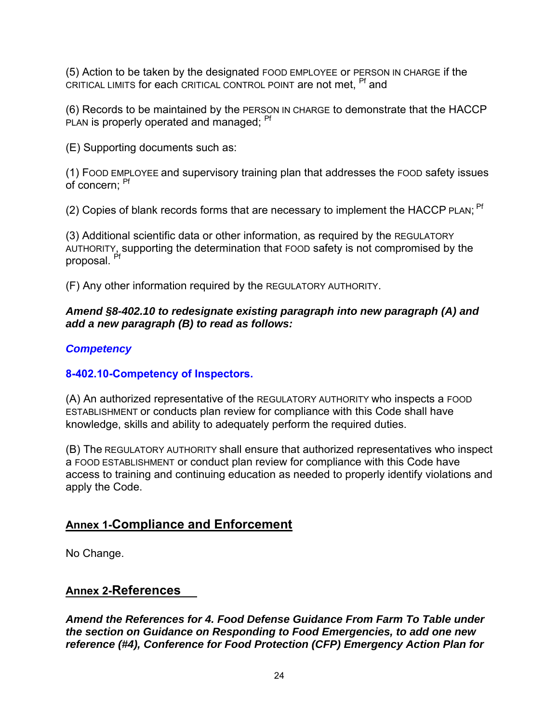(5) Action to be taken by the designated FOOD EMPLOYEE or PERSON IN CHARGE if the CRITICAL LIMITS for each CRITICAL CONTROL POINT are not met. <sup>Pf</sup> and

(6) Records to be maintained by the PERSON IN CHARGE to demonstrate that the HACCP PLAN is properly operated and managed: <sup>Pf</sup>

(E) Supporting documents such as:

(1) FOOD EMPLOYEE and supervisory training plan that addresses the FOOD safety issues of concern: <sup>Pf</sup>

(2) Copies of blank records forms that are necessary to implement the HACCP PLAN; <sup>Pf</sup>

(3) Additional scientific data or other information, as required by the REGULATORY AUTHORITY, supporting the determination that FOOD safety is not compromised by the proposal. Pf

(F) Any other information required by the REGULATORY AUTHORITY.

### *Amend §8-402.10 to redesignate existing paragraph into new paragraph (A) and add a new paragraph (B) to read as follows:*

### *Competency*

### **8-402.10-Competency of Inspectors.**

(A) An authorized representative of the REGULATORY AUTHORITY who inspects a FOOD ESTABLISHMENT or conducts plan review for compliance with this Code shall have knowledge, skills and ability to adequately perform the required duties.

(B) The REGULATORY AUTHORITY shall ensure that authorized representatives who inspect a FOOD ESTABLISHMENT or conduct plan review for compliance with this Code have access to training and continuing education as needed to properly identify violations and apply the Code.

## <span id="page-24-0"></span>**Annex 1-Compliance and Enforcement**

No Change.

### <span id="page-24-1"></span>**Annex 2-References**

*Amend the References for 4. Food Defense Guidance From Farm To Table under the section on Guidance on Responding to Food Emergencies, to add one new reference (#4), Conference for Food Protection (CFP) Emergency Action Plan for*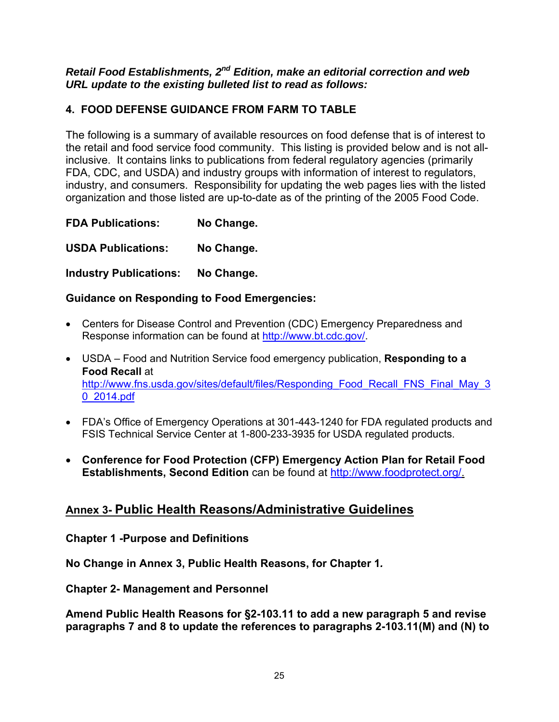#### *Retail Food Establishments, 2nd Edition, make an editorial correction and web URL update to the existing bulleted list to read as follows:*

### **4. FOOD DEFENSE GUIDANCE FROM FARM TO TABLE**

The following is a summary of available resources on food defense that is of interest to the retail and food service food community. This listing is provided below and is not allinclusive. It contains links to publications from federal regulatory agencies (primarily FDA, CDC, and USDA) and industry groups with information of interest to regulators, industry, and consumers. Responsibility for updating the web pages lies with the listed organization and those listed are up-to-date as of the printing of the 2005 Food Code.

**FDA Publications: No Change.** 

**USDA Publications: No Change.** 

**Industry Publications: No Change.**

### **Guidance on Responding to Food Emergencies:**

- Centers for Disease Control and Prevention (CDC) Emergency Preparedness and Response information can be found at [http://www.bt.cdc.gov/.](http://www.bt.cdc.gov/)
- USDA Food and Nutrition Service food emergency publication, **Responding to a Food Recall** at [http://www.fns.usda.gov/sites/default/files/Responding\\_Food\\_Recall\\_FNS\\_Final\\_May\\_3](http://www.fns.usda.gov/sites/default/files/Responding_Food_Recall_FNS_Final_May_30_2014.pdf) [0\\_2014.pdf](http://www.fns.usda.gov/sites/default/files/Responding_Food_Recall_FNS_Final_May_30_2014.pdf)
- FDA's Office of Emergency Operations at 301-443-1240 for FDA regulated products and FSIS Technical Service Center at 1-800-233-3935 for USDA regulated products.
- **Conference for Food Protection (CFP) Emergency Action Plan for Retail Food Establishments, Second Edition** can be found at [http://www.foodprotect.org/.](http://www.foodprotect.org/)

## <span id="page-25-0"></span>**Annex 3- Public Health Reasons/Administrative Guidelines**

**Chapter 1 -Purpose and Definitions**

**No Change in Annex 3, Public Health Reasons, for Chapter 1***.* 

**Chapter 2- Management and Personnel**

**Amend Public Health Reasons for §2-103.11 to add a new paragraph 5 and revise paragraphs 7 and 8 to update the references to paragraphs 2-103.11(M) and (N) to**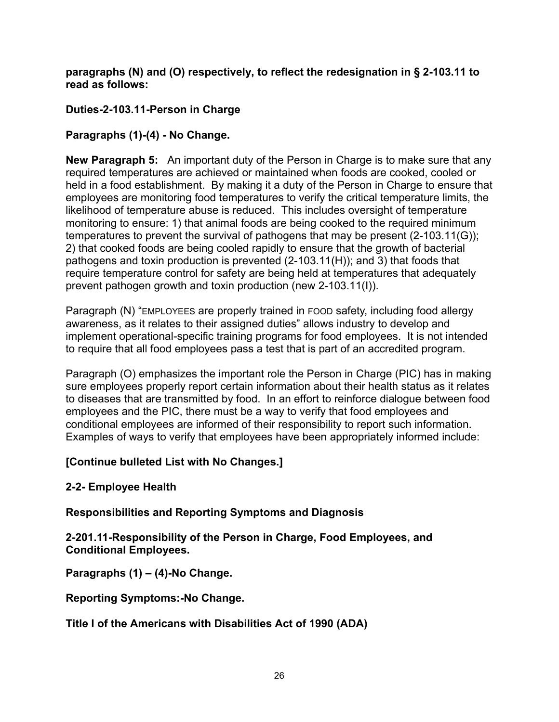#### **paragraphs (N) and (O) respectively, to reflect the redesignation in § 2-103.11 to read as follows:**

### **Duties-2-103.11-Person in Charge**

### **Paragraphs (1)-(4) - No Change.**

**New Paragraph 5:** An important duty of the Person in Charge is to make sure that any required temperatures are achieved or maintained when foods are cooked, cooled or held in a food establishment. By making it a duty of the Person in Charge to ensure that employees are monitoring food temperatures to verify the critical temperature limits, the likelihood of temperature abuse is reduced. This includes oversight of temperature monitoring to ensure: 1) that animal foods are being cooked to the required minimum temperatures to prevent the survival of pathogens that may be present (2-103.11(G)); 2) that cooked foods are being cooled rapidly to ensure that the growth of bacterial pathogens and toxin production is prevented (2-103.11(H)); and 3) that foods that require temperature control for safety are being held at temperatures that adequately prevent pathogen growth and toxin production (new 2-103.11(I)).

Paragraph (N) "EMPLOYEES are properly trained in FOOD safety, including food allergy awareness, as it relates to their assigned duties" allows industry to develop and implement operational-specific training programs for food employees. It is not intended to require that all food employees pass a test that is part of an accredited program.

Paragraph (O) emphasizes the important role the Person in Charge (PIC) has in making sure employees properly report certain information about their health status as it relates to diseases that are transmitted by food. In an effort to reinforce dialogue between food employees and the PIC, there must be a way to verify that food employees and conditional employees are informed of their responsibility to report such information. Examples of ways to verify that employees have been appropriately informed include:

### **[Continue bulleted List with No Changes.]**

### **2-2- Employee Health**

### **Responsibilities and Reporting Symptoms and Diagnosis**

#### **2-201.11-Responsibility of the Person in Charge, Food Employees, and Conditional Employees.**

**Paragraphs (1) – (4)-No Change.**

**Reporting Symptoms:-No Change.** 

**Title I of the Americans with Disabilities Act of 1990 (ADA)**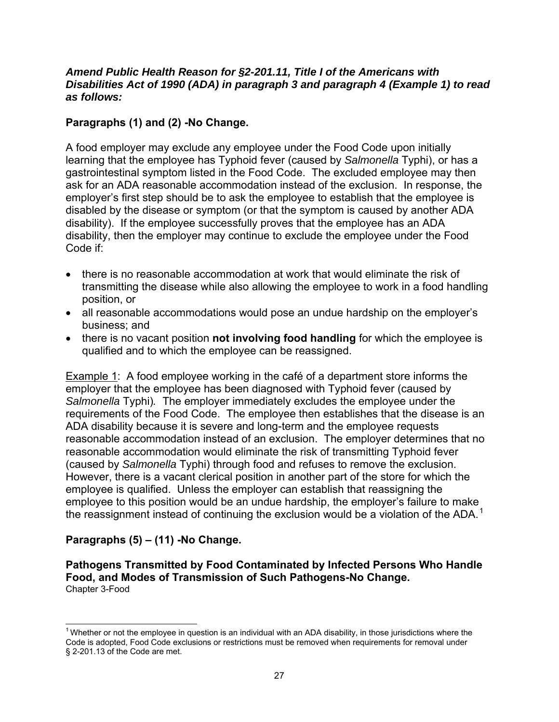#### *Amend Public Health Reason for §2-201.11, Title I of the Americans with Disabilities Act of 1990 (ADA) in paragraph 3 and paragraph 4 (Example 1) to read as follows:*

### **Paragraphs (1) and (2) -No Change.**

A food employer may exclude any employee under the Food Code upon initially learning that the employee has Typhoid fever (caused by *Salmonella* Typhi), or has a gastrointestinal symptom listed in the Food Code. The excluded employee may then ask for an ADA reasonable accommodation instead of the exclusion. In response, the employer's first step should be to ask the employee to establish that the employee is disabled by the disease or symptom (or that the symptom is caused by another ADA disability). If the employee successfully proves that the employee has an ADA disability, then the employer may continue to exclude the employee under the Food Code if:

- there is no reasonable accommodation at work that would eliminate the risk of transmitting the disease while also allowing the employee to work in a food handling position, or
- all reasonable accommodations would pose an undue hardship on the employer's business; and
- there is no vacant position **not involving food handling** for which the employee is qualified and to which the employee can be reassigned.

Example 1: A food employee working in the café of a department store informs the employer that the employee has been diagnosed with Typhoid fever (caused by *Salmonella* Typhi)*.* The employer immediately excludes the employee under the requirements of the Food Code. The employee then establishes that the disease is an ADA disability because it is severe and long-term and the employee requests reasonable accommodation instead of an exclusion. The employer determines that no reasonable accommodation would eliminate the risk of transmitting Typhoid fever (caused by *Salmonella* Typhi) through food and refuses to remove the exclusion. However, there is a vacant clerical position in another part of the store for which the employee is qualified. Unless the employer can establish that reassigning the employee to this position would be an undue hardship, the employer's failure to make the reassignment instead of continuing the exclusion would be a violation of the ADA.<sup>[1](#page-27-0)</sup>

### **Paragraphs (5) – (11) -No Change.**

 $\overline{\phantom{a}}$ 

**Pathogens Transmitted by Food Contaminated by Infected Persons Who Handle Food, and Modes of Transmission of Such Pathogens-No Change.** Chapter 3-Food

<span id="page-27-0"></span><sup>&</sup>lt;sup>1</sup> Whether or not the employee in question is an individual with an ADA disability, in those jurisdictions where the Code is adopted, Food Code exclusions or restrictions must be removed when requirements for removal under § 2-201.13 of the Code are met.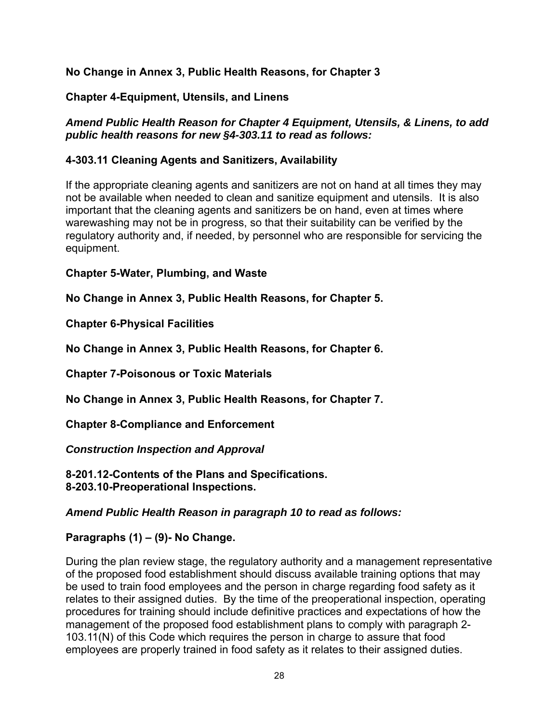### **No Change in Annex 3, Public Health Reasons, for Chapter 3**

### **Chapter 4-Equipment, Utensils, and Linens**

### *Amend Public Health Reason for Chapter 4 Equipment, Utensils, & Linens, to add public health reasons for new §4-303.11 to read as follows:*

### **4-303.11 Cleaning Agents and Sanitizers, Availability**

If the appropriate cleaning agents and sanitizers are not on hand at all times they may not be available when needed to clean and sanitize equipment and utensils. It is also important that the cleaning agents and sanitizers be on hand, even at times where warewashing may not be in progress, so that their suitability can be verified by the regulatory authority and, if needed, by personnel who are responsible for servicing the equipment.

**Chapter 5-Water, Plumbing, and Waste**

**No Change in Annex 3, Public Health Reasons, for Chapter 5.** 

**Chapter 6-Physical Facilities** 

**No Change in Annex 3, Public Health Reasons, for Chapter 6.**

**Chapter 7-Poisonous or Toxic Materials** 

**No Change in Annex 3, Public Health Reasons, for Chapter 7.**

**Chapter 8-Compliance and Enforcement** 

*Construction Inspection and Approval*

**8-201.12-Contents of the Plans and Specifications. 8-203.10-Preoperational Inspections.** 

*Amend Public Health Reason in paragraph 10 to read as follows:* 

**Paragraphs (1) – (9)- No Change.** 

During the plan review stage, the regulatory authority and a management representative of the proposed food establishment should discuss available training options that may be used to train food employees and the person in charge regarding food safety as it relates to their assigned duties. By the time of the preoperational inspection, operating procedures for training should include definitive practices and expectations of how the management of the proposed food establishment plans to comply with paragraph 2- 103.11(N) of this Code which requires the person in charge to assure that food employees are properly trained in food safety as it relates to their assigned duties.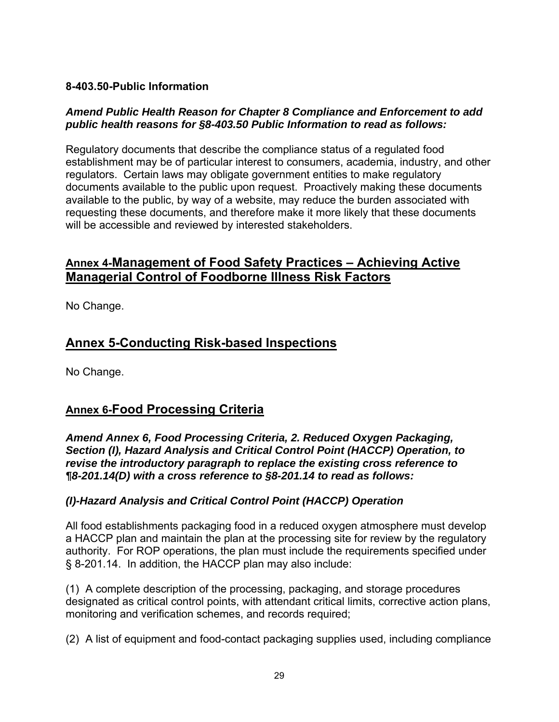### **8-403.50-Public Information**

#### *Amend Public Health Reason for Chapter 8 Compliance and Enforcement to add public health reasons for §8-403.50 Public Information to read as follows:*

Regulatory documents that describe the compliance status of a regulated food establishment may be of particular interest to consumers, academia, industry, and other regulators. Certain laws may obligate government entities to make regulatory documents available to the public upon request. Proactively making these documents available to the public, by way of a website, may reduce the burden associated with requesting these documents, and therefore make it more likely that these documents will be accessible and reviewed by interested stakeholders.

## <span id="page-29-0"></span>**Annex 4-Management of Food Safety Practices – Achieving Active Managerial Control of Foodborne Illness Risk Factors**

No Change.

## <span id="page-29-1"></span>**Annex 5-Conducting Risk-based Inspections**

No Change.

## <span id="page-29-2"></span>**Annex 6-Food Processing Criteria**

*Amend Annex 6, Food Processing Criteria, 2. Reduced Oxygen Packaging, Section (I), Hazard Analysis and Critical Control Point (HACCP) Operation, to revise the introductory paragraph to replace the existing cross reference to ¶8-201.14(D) with a cross reference to §8-201.14 to read as follows:* 

### *(I)-Hazard Analysis and Critical Control Point (HACCP) Operation*

All food establishments packaging food in a reduced oxygen atmosphere must develop a HACCP plan and maintain the plan at the processing site for review by the regulatory authority. For ROP operations, the plan must include the requirements specified under § 8-201.14. In addition, the HACCP plan may also include:

(1) A complete description of the processing, packaging, and storage procedures designated as critical control points, with attendant critical limits, corrective action plans, monitoring and verification schemes, and records required;

(2) A list of equipment and food-contact packaging supplies used, including compliance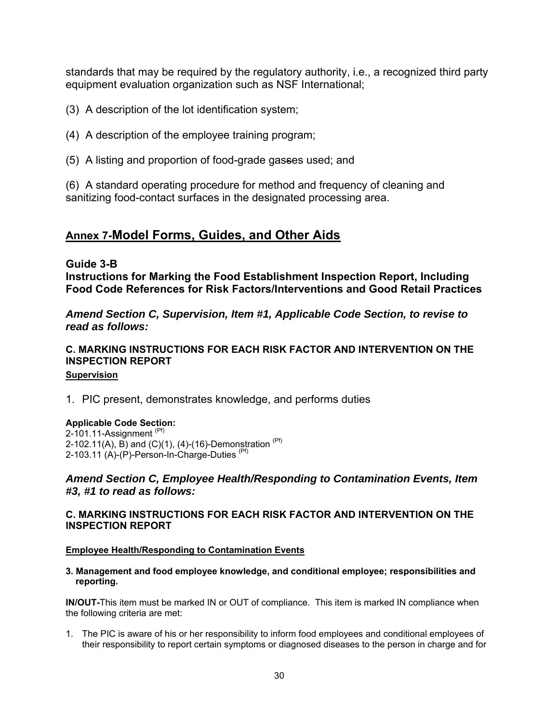standards that may be required by the regulatory authority, i.e., a recognized third party equipment evaluation organization such as NSF International;

- (3) A description of the lot identification system;
- (4) A description of the employee training program;
- (5) A listing and proportion of food-grade gasses used; and

(6) A standard operating procedure for method and frequency of cleaning and sanitizing food-contact surfaces in the designated processing area.

### <span id="page-30-0"></span>**Annex 7-Model Forms, Guides, and Other Aids**

#### **Guide 3-B**

**Instructions for Marking the Food Establishment Inspection Report, Including Food Code References for Risk Factors/Interventions and Good Retail Practices**

*Amend Section C, Supervision, Item #1, Applicable Code Section, to revise to read as follows:*

#### **C. MARKING INSTRUCTIONS FOR EACH RISK FACTOR AND INTERVENTION ON THE INSPECTION REPORT Supervision**

1. PIC present, demonstrates knowledge, and performs duties

#### **Applicable Code Section:**

2-101.11-Assignment  $(P)$ 2-102.11(A),  $\overline{B}$ ) and (C)(1), (4)-(16)-Demonstration  $Pf$ 2-103.11 (A)-(P)-Person-In-Charge-Duties<sup>(Pf)</sup>

#### *Amend Section C, Employee Health/Responding to Contamination Events, Item #3, #1 to read as follows:*

#### **C. MARKING INSTRUCTIONS FOR EACH RISK FACTOR AND INTERVENTION ON THE INSPECTION REPORT**

#### **Employee Health/Responding to Contamination Events**

**3. Management and food employee knowledge, and conditional employee; responsibilities and reporting.** 

**IN/OUT-**This item must be marked IN or OUT of compliance. This item is marked IN compliance when the following criteria are met:

1. The PIC is aware of his or her responsibility to inform food employees and conditional employees of their responsibility to report certain symptoms or diagnosed diseases to the person in charge and for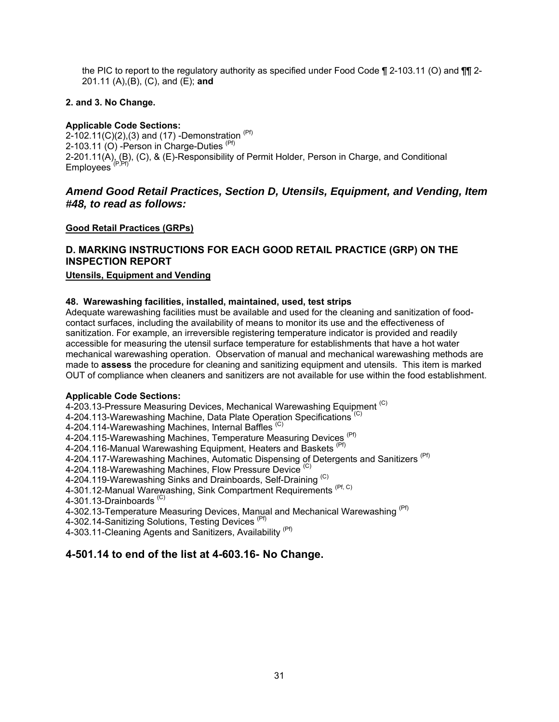the PIC to report to the regulatory authority as specified under Food Code ¶ 2-103.11 (O) and ¶¶ 2-201.11 (A),(B), (C), and (E); **and**

#### **2. and 3. No Change.**

#### **Applicable Code Sections:**

2-102.11(C)(2),(3) and (17) -Demonstration  $(Pf)$ 2-103.11  $(O)$  -Person in Charge-Duties  $(Pf)$ 2-201.11(A), (B), (C), & (E)-Responsibility of Permit Holder, Person in Charge, and Conditional Employees (P,Pf)

#### *Amend Good Retail Practices, Section D, Utensils, Equipment, and Vending, Item #48, to read as follows:*

#### **Good Retail Practices (GRPs)**

## **D. MARKING INSTRUCTIONS FOR EACH GOOD RETAIL PRACTICE (GRP) ON THE INSPECTION REPORT**

#### **Utensils, Equipment and Vending**

#### **48. Warewashing facilities, installed, maintained, used, test strips**

Adequate warewashing facilities must be available and used for the cleaning and sanitization of foodcontact surfaces, including the availability of means to monitor its use and the effectiveness of sanitization. For example, an irreversible registering temperature indicator is provided and readily accessible for measuring the utensil surface temperature for establishments that have a hot water mechanical warewashing operation. Observation of manual and mechanical warewashing methods are made to **assess** the procedure for cleaning and sanitizing equipment and utensils. This item is marked OUT of compliance when cleaners and sanitizers are not available for use within the food establishment.

#### **Applicable Code Sections:**

4-203.13-Pressure Measuring Devices, Mechanical Warewashing Equipment<sup>(C)</sup>

4-204.113-Warewashing Machine, Data Plate Operation Specifications<sup>(C)</sup>

4-204.114-Warewashing Machines, Internal Baffles<sup>(C)</sup>

4-204.115-Warewashing Machines, Temperature Measuring Devices<sup>(Pf)</sup>

4-204.116-Manual Warewashing Equipment, Heaters and Baskets<sup>(Pf)</sup>

4-204.117-Warewashing Machines, Automatic Dispensing of Detergents and Sanitizers<sup>(Pf)</sup>

4-204.118-Warewashing Machines, Flow Pressure Device<sup>(C)</sup>

4-204.119-Warewashing Sinks and Drainboards, Self-Draining<sup>(C)</sup>

4-301.12-Manual Warewashing, Sink Compartment Requirements (Pf, C)

4-301.13-Drainboards<sup>(C)</sup>

4-302.13-Temperature Measuring Devices, Manual and Mechanical Warewashing <sup>(Pf)</sup>

4-302.14-Sanitizing Solutions, Testing Devices<sup>(Pf)</sup>

4-303.11-Cleaning Agents and Sanitizers, Availability (Pf)

#### **4-501.14 to end of the list at 4-603.16- No Change.**